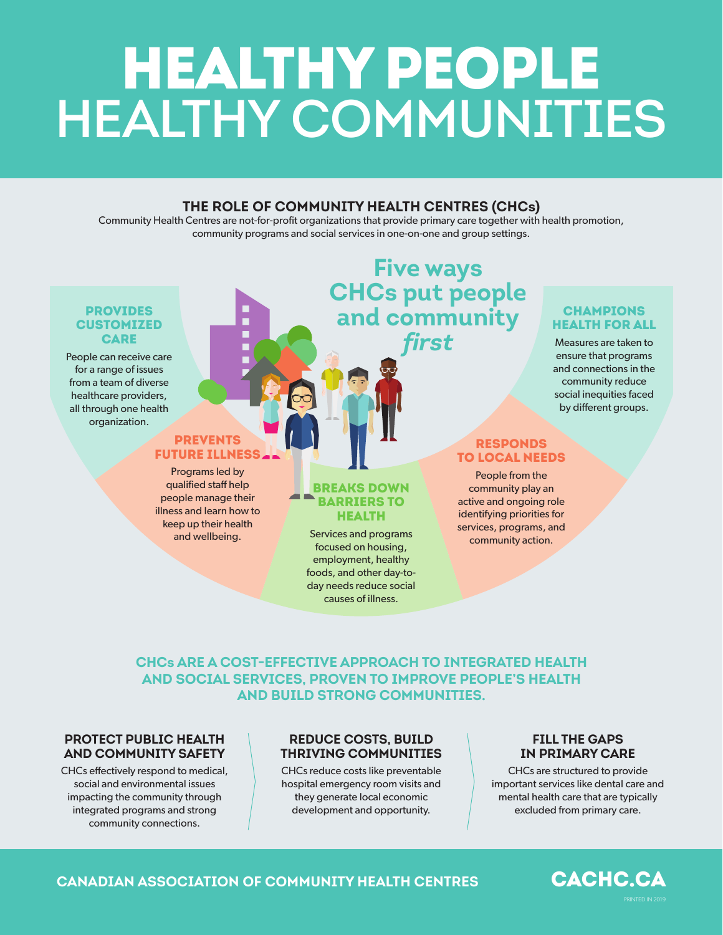# HEALTHY PEOPLE **HEALTHY COMMUNITIES**

### **THE ROLE OF COMMUNITY HEALTH CENTRES (CHCs)**

Community Health Centres are not-for-profit organizations that provide primary care together with health promotion, community programs and social services in one-on-one and group settings.

### PROVIDES **CUSTOMIZED CARE**

People can receive care for a range of issues from a team of diverse healthcare providers, all through one health organization.

### **PREVENTS** FUTURE ILLNESS

Programs led by qualified staff help people manage their illness and learn how to keep up their health and wellbeing.

### **Five ways CHCs put people and community** *first*

### **CHAMPIONS** HEALTH FOR ALL

Measures are taken to ensure that programs and connections in the community reduce social inequities faced by different groups.

### RESPONDS TO LOCAL NEEDS

People from the community play an active and ongoing role identifying priorities for services, programs, and community action.

### BREAKS DOWN BARRIERS TO HEALTH

Services and programs focused on housing, employment, healthy foods, and other day-today needs reduce social causes of illness.

### **CHCs ARE A COST-EFFECTIVE APPROACH TO INTEGRATED HEALTH AND SOCIAL SERVICES, PROVEN TO IMPROVE PEOPLE'S HEALTH AND BUILD STRONG COMMUNITIES.**

### **PROTECT PUBLIC HEALTH AND COMMUNITY SAFETY**

CHCs effectively respond to medical, social and environmental issues impacting the community through integrated programs and strong community connections.

### **REDUCE COSTS, BUILD THRIVING COMMUNITIES**

CHCs reduce costs like preventable hospital emergency room visits and they generate local economic development and opportunity.

### **FILL THE GAPS IN PRIMARY CARE**

CHCs are structured to provide important services like dental care and mental health care that are typically excluded from primary care.

### **CANADIAN ASSOCIATION OF COMMUNITY HEALTH CENTRES**

CACHC.CA